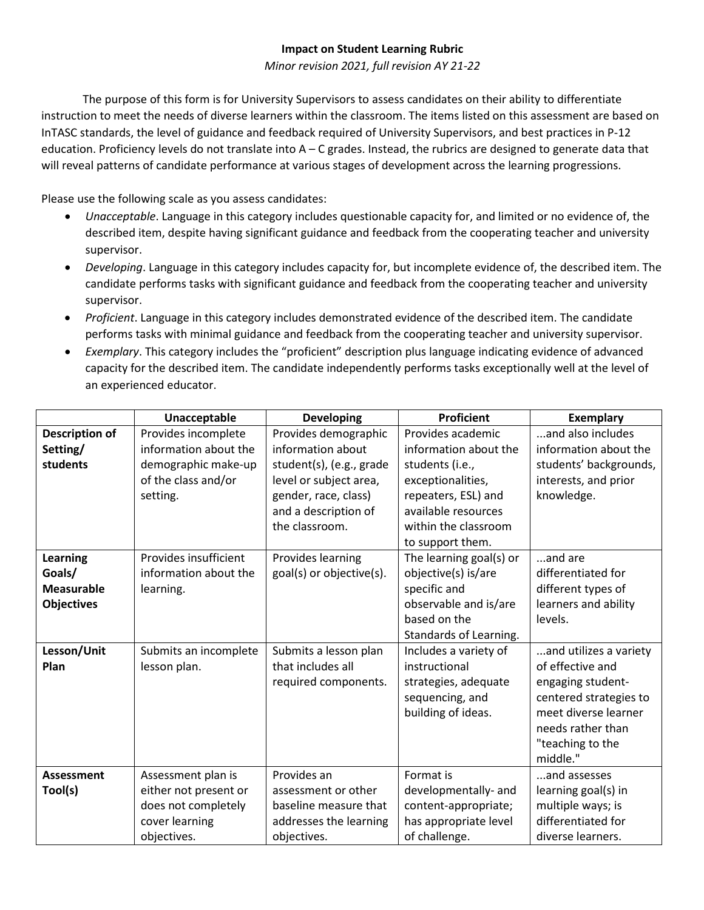## **Impact on Student Learning Rubric**

*Minor revision 2021, full revision AY 21-22*

The purpose of this form is for University Supervisors to assess candidates on their ability to differentiate instruction to meet the needs of diverse learners within the classroom. The items listed on this assessment are based on InTASC standards, the level of guidance and feedback required of University Supervisors, and best practices in P-12 education. Proficiency levels do not translate into  $A - C$  grades. Instead, the rubrics are designed to generate data that will reveal patterns of candidate performance at various stages of development across the learning progressions.

Please use the following scale as you assess candidates:

- *Unacceptable*. Language in this category includes questionable capacity for, and limited or no evidence of, the described item, despite having significant guidance and feedback from the cooperating teacher and university supervisor.
- *Developing*. Language in this category includes capacity for, but incomplete evidence of, the described item. The candidate performs tasks with significant guidance and feedback from the cooperating teacher and university supervisor.
- *Proficient*. Language in this category includes demonstrated evidence of the described item. The candidate performs tasks with minimal guidance and feedback from the cooperating teacher and university supervisor.
- *Exemplary*. This category includes the "proficient" description plus language indicating evidence of advanced capacity for the described item. The candidate independently performs tasks exceptionally well at the level of an experienced educator.

|                       | Unacceptable          | <b>Developing</b>        | <b>Proficient</b>       | <b>Exemplary</b>       |
|-----------------------|-----------------------|--------------------------|-------------------------|------------------------|
| <b>Description of</b> | Provides incomplete   | Provides demographic     | Provides academic       | and also includes      |
| Setting/              | information about the | information about        | information about the   | information about the  |
| students              | demographic make-up   | student(s), (e.g., grade | students (i.e.,         | students' backgrounds, |
|                       | of the class and/or   | level or subject area,   | exceptionalities,       | interests, and prior   |
|                       | setting.              | gender, race, class)     | repeaters, ESL) and     | knowledge.             |
|                       |                       | and a description of     | available resources     |                        |
|                       |                       | the classroom.           | within the classroom    |                        |
|                       |                       |                          | to support them.        |                        |
| <b>Learning</b>       | Provides insufficient | Provides learning        | The learning goal(s) or | and are                |
| Goals/                | information about the | goal(s) or objective(s). | objective(s) is/are     | differentiated for     |
| <b>Measurable</b>     | learning.             |                          | specific and            | different types of     |
| <b>Objectives</b>     |                       |                          | observable and is/are   | learners and ability   |
|                       |                       |                          | based on the            | levels.                |
|                       |                       |                          | Standards of Learning.  |                        |
| Lesson/Unit           | Submits an incomplete | Submits a lesson plan    | Includes a variety of   | and utilizes a variety |
| Plan                  | lesson plan.          | that includes all        | instructional           | of effective and       |
|                       |                       | required components.     | strategies, adequate    | engaging student-      |
|                       |                       |                          | sequencing, and         | centered strategies to |
|                       |                       |                          | building of ideas.      | meet diverse learner   |
|                       |                       |                          |                         | needs rather than      |
|                       |                       |                          |                         | "teaching to the       |
|                       |                       |                          |                         | middle."               |
| Assessment            | Assessment plan is    | Provides an              | Format is               | and assesses           |
| Tool(s)               | either not present or | assessment or other      | developmentally- and    | learning goal(s) in    |
|                       | does not completely   | baseline measure that    | content-appropriate;    | multiple ways; is      |
|                       | cover learning        | addresses the learning   | has appropriate level   | differentiated for     |
|                       | objectives.           | objectives.              | of challenge.           | diverse learners.      |